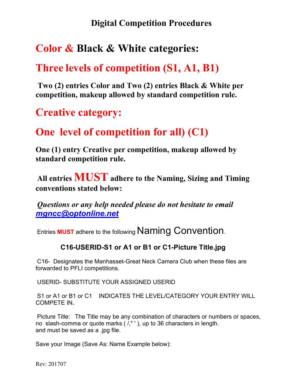### **Digital Competition Procedures**

## **Color & Black & White categories:**

## **Three levels of competition (S1, A1, B1)**

**Two (2) entries Color and Two (2) entries Black & White per competition, makeup allowed by standard competition rule.**

## **Creative category:**

## **One level of competition for all) (C1)**

**One (1) entry Creative per competition, makeup allowed by standard competition rule.**

**All entries MUST adhere to the Naming, Sizing and Timing conventions stated below:**

*Questions or any help needed please do not hesitate to email [mgncc@optonline.net](mailto:mgncc@optonline.net)*

Entries **MUST** adhere to the following Naming Convention.

#### **C16-USERID-S1 or A1 or B1 or C1-Picture Title.jpg**

C16- Designates the Manhasset-Great Neck Camera Club when these files are forwarded to PFLI competitions.

USERID- SUBSTITUTE YOUR ASSIGNED USERID

S1 or A1 or B1 or C1 INDICATES THE LEVEL/CATEGORY YOUR ENTRY WILL COMPETE IN**.**

Picture Title: The Title may be any combination of characters or numbers or spaces, no slash-comma or quote marks ( /," ' ), up to 36 characters in length. and must be saved as a .jpg file.

Save your Image (Save As: Name Example below):